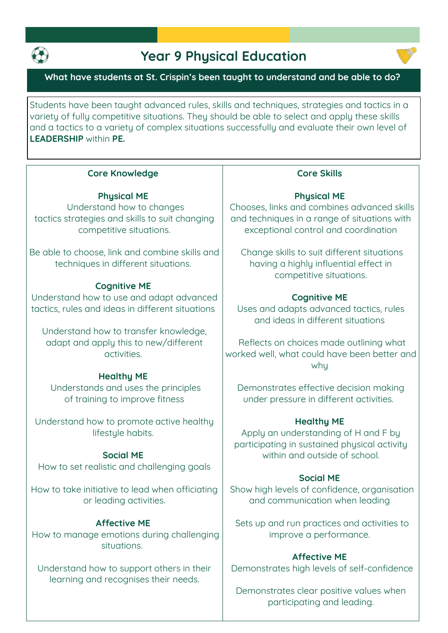

# **Year 9 Physical Education**



## **What have students at St. Crispin's been taught to understand and be able to do?**

**Students have been taught advanced rules, skills and techniques, strategies and tactics in a variety of fully competitive situations. They should be able to select and apply these skills and a tactics to a variety of complex situations successfully and evaluate their own level of LEADERSHIP within PE.**

#### **Core Knowledge**

#### **Phusical ME**

**Understand how to changes tactics strategies and skills to suit changing competitive situations.**

**Be able to choose, link and combine skills and techniques in different situations.**

#### **Cognitive ME**

**Understand how to use and adapt advanced tactics, rules and ideas in different situations**

**Understand how to transfer knowledge, adapt and apply this to new/different activities.**

#### **Healthy ME**

**Understands and uses the principles of training to improve fitness**

**Understand how to promote active healthy lifestyle habits.**

#### **Social ME**

**How to set realistic and challenging goals**

**How to take initiative to lead when officiating or leading activities.**

## **Affective ME**

**How to manage emotions during challenging situations.** 

**Understand how to support others in their learning and recognises their needs.**

## **Core Skills**

#### **Phusical ME**

**Chooses, links and combines advanced skills and techniques in a range of situations with exceptional control and coordination**

**Change skills to suit different situations having a highly influential effect in competitive situations.**

#### **Cognitive ME**

**Uses and adapts advanced tactics, rules and ideas in different situations**

**Reflects on choices made outlining what worked well, what could have been better and why**

**Demonstrates effective decision making under pressure in different activities.** 

#### **Healthy ME**

**Apply an understanding of H and F by participating in sustained physical activity within and outside of school.**

#### **Social ME**

**Show high levels of confidence, organisation and communication when leading**

**Sets up and run practices and activities to improve a performance.**

## **Affective ME**

**Demonstrates high levels of self-confidence**

**Demonstrates clear positive values when participating and leading.**